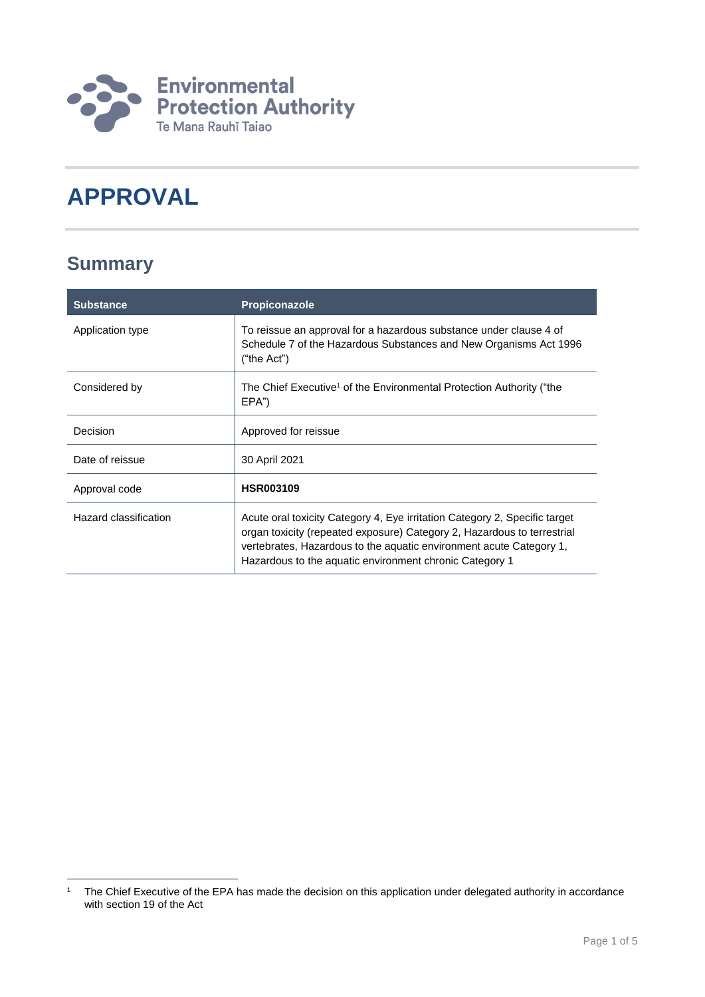

# **APPROVAL**

## **Summary**

| <b>Substance</b>      | <b>Propiconazole</b>                                                                                                                                                                                                                                                                    |
|-----------------------|-----------------------------------------------------------------------------------------------------------------------------------------------------------------------------------------------------------------------------------------------------------------------------------------|
| Application type      | To reissue an approval for a hazardous substance under clause 4 of<br>Schedule 7 of the Hazardous Substances and New Organisms Act 1996<br>("the Act")                                                                                                                                  |
| Considered by         | The Chief Executive <sup>1</sup> of the Environmental Protection Authority ("the<br>EPA")                                                                                                                                                                                               |
| Decision              | Approved for reissue                                                                                                                                                                                                                                                                    |
| Date of reissue       | 30 April 2021                                                                                                                                                                                                                                                                           |
| Approval code         | <b>HSR003109</b>                                                                                                                                                                                                                                                                        |
| Hazard classification | Acute oral toxicity Category 4, Eye irritation Category 2, Specific target<br>organ toxicity (repeated exposure) Category 2, Hazardous to terrestrial<br>vertebrates, Hazardous to the aquatic environment acute Category 1,<br>Hazardous to the aquatic environment chronic Category 1 |

<sup>1</sup> <sup>1</sup> The Chief Executive of the EPA has made the decision on this application under delegated authority in accordance with section 19 of the Act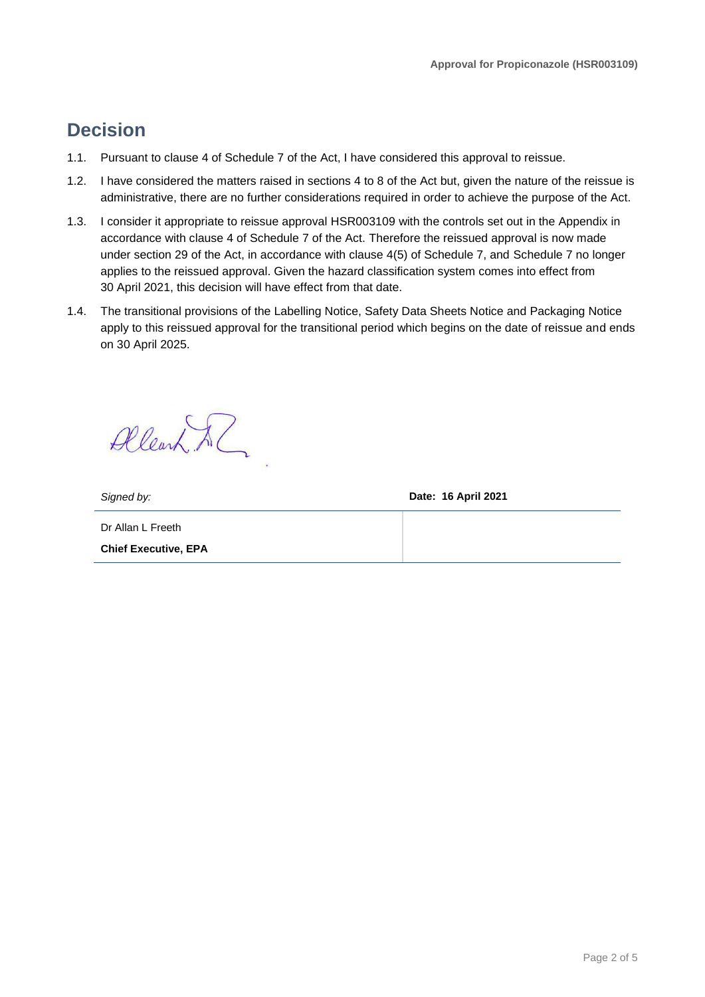### **Decision**

- 1.1. Pursuant to clause 4 of Schedule 7 of the Act, I have considered this approval to reissue.
- 1.2. I have considered the matters raised in sections 4 to 8 of the Act but, given the nature of the reissue is administrative, there are no further considerations required in order to achieve the purpose of the Act.
- 1.3. I consider it appropriate to reissue approval HSR003109 with the controls set out in the Appendix in accordance with clause 4 of Schedule 7 of the Act. Therefore the reissued approval is now made under section 29 of the Act, in accordance with clause 4(5) of Schedule 7, and Schedule 7 no longer applies to the reissued approval. Given the hazard classification system comes into effect from 30 April 2021, this decision will have effect from that date.
- 1.4. The transitional provisions of the Labelling Notice, Safety Data Sheets Notice and Packaging Notice apply to this reissued approval for the transitional period which begins on the date of reissue and ends on 30 April 2025.

Allearn Al

*Signed by:* **Date: 16 April 2021**

Dr Allan L Freeth **Chief Executive, EPA**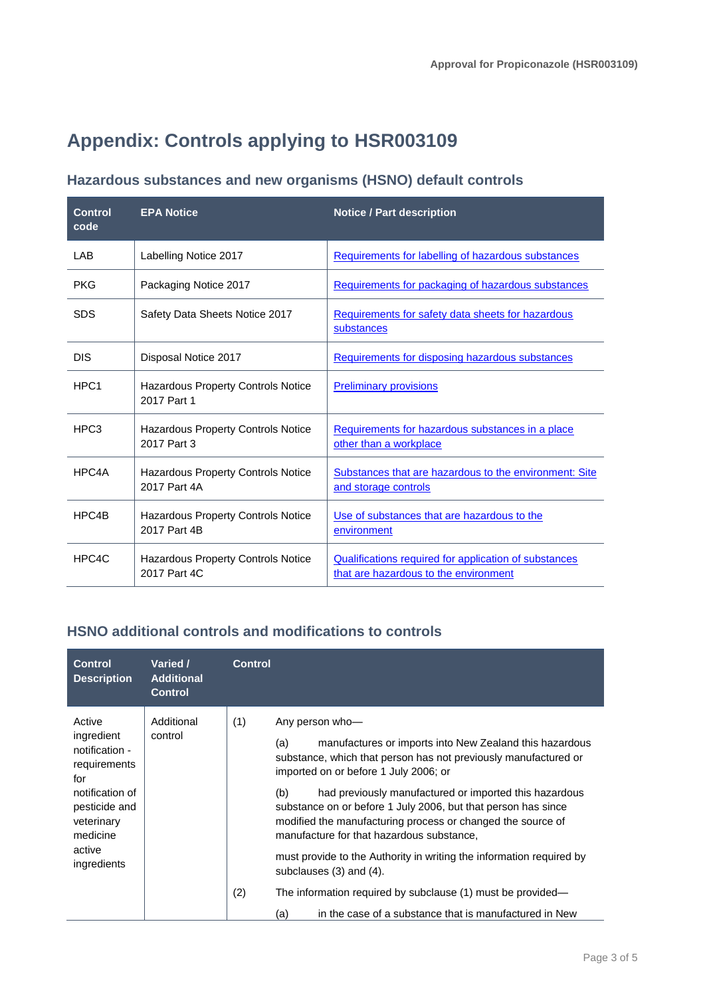## **Appendix: Controls applying to HSR003109**

### **Hazardous substances and new organisms (HSNO) default controls**

| <b>Control</b><br>code | <b>EPA Notice</b>                                         | <b>Notice / Part description</b>                                                               |
|------------------------|-----------------------------------------------------------|------------------------------------------------------------------------------------------------|
| LAB                    | Labelling Notice 2017                                     | Requirements for labelling of hazardous substances                                             |
| <b>PKG</b>             | Packaging Notice 2017                                     | Requirements for packaging of hazardous substances                                             |
| <b>SDS</b>             | Safety Data Sheets Notice 2017                            | Requirements for safety data sheets for hazardous<br>substances                                |
| <b>DIS</b>             | Disposal Notice 2017                                      | Requirements for disposing hazardous substances                                                |
| HPC <sub>1</sub>       | Hazardous Property Controls Notice<br>2017 Part 1         | <b>Preliminary provisions</b>                                                                  |
| HPC <sub>3</sub>       | <b>Hazardous Property Controls Notice</b><br>2017 Part 3  | Requirements for hazardous substances in a place<br>other than a workplace                     |
| HPC4A                  | <b>Hazardous Property Controls Notice</b><br>2017 Part 4A | Substances that are hazardous to the environment: Site<br>and storage controls                 |
| HPC4B                  | Hazardous Property Controls Notice<br>2017 Part 4B        | Use of substances that are hazardous to the<br>environment                                     |
| HPC4C                  | Hazardous Property Controls Notice<br>2017 Part 4C        | Qualifications required for application of substances<br>that are hazardous to the environment |

#### **HSNO additional controls and modifications to controls**

| Active<br>Additional<br>(1)<br>Any person who-<br>ingredient<br>control                                                                                                                                                                                                                                                                                                                                                                                                                                                                                                                                                                                                                                                                                                                                 |  |
|---------------------------------------------------------------------------------------------------------------------------------------------------------------------------------------------------------------------------------------------------------------------------------------------------------------------------------------------------------------------------------------------------------------------------------------------------------------------------------------------------------------------------------------------------------------------------------------------------------------------------------------------------------------------------------------------------------------------------------------------------------------------------------------------------------|--|
| manufactures or imports into New Zealand this hazardous<br>(a)<br>notification -<br>substance, which that person has not previously manufactured or<br>requirements<br>imported on or before 1 July 2006; or<br>for<br>notification of<br>had previously manufactured or imported this hazardous<br>(b)<br>pesticide and<br>substance on or before 1 July 2006, but that person has since<br>modified the manufacturing process or changed the source of<br>veterinary<br>medicine<br>manufacture for that hazardous substance,<br>active<br>must provide to the Authority in writing the information required by<br>ingredients<br>subclauses $(3)$ and $(4)$ .<br>(2)<br>The information required by subclause (1) must be provided—<br>in the case of a substance that is manufactured in New<br>(a) |  |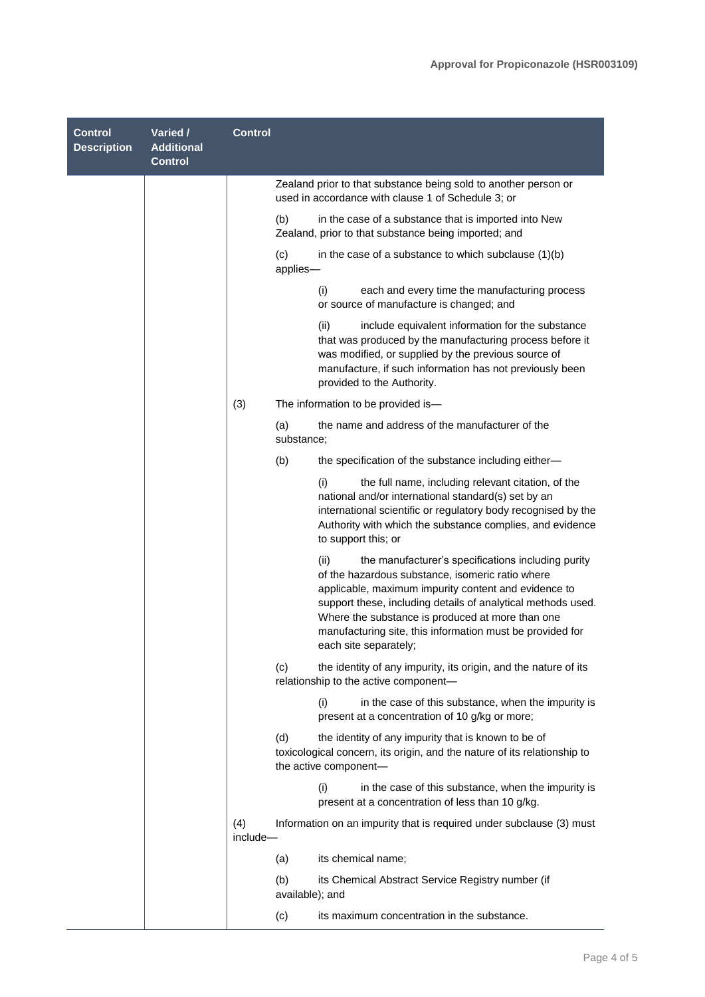| <b>Control</b><br><b>Description</b> | Varied /<br><b>Additional</b><br><b>Control</b> | <b>Control</b>  |                                                                                                                                                                                                                                                                                                                                                                                  |
|--------------------------------------|-------------------------------------------------|-----------------|----------------------------------------------------------------------------------------------------------------------------------------------------------------------------------------------------------------------------------------------------------------------------------------------------------------------------------------------------------------------------------|
|                                      |                                                 |                 | Zealand prior to that substance being sold to another person or<br>used in accordance with clause 1 of Schedule 3; or                                                                                                                                                                                                                                                            |
|                                      |                                                 |                 | (b)<br>in the case of a substance that is imported into New<br>Zealand, prior to that substance being imported; and                                                                                                                                                                                                                                                              |
|                                      |                                                 |                 | (c)<br>in the case of a substance to which subclause $(1)(b)$<br>applies-                                                                                                                                                                                                                                                                                                        |
|                                      |                                                 |                 | (i)<br>each and every time the manufacturing process<br>or source of manufacture is changed; and                                                                                                                                                                                                                                                                                 |
|                                      |                                                 |                 | (ii)<br>include equivalent information for the substance<br>that was produced by the manufacturing process before it<br>was modified, or supplied by the previous source of<br>manufacture, if such information has not previously been<br>provided to the Authority.                                                                                                            |
|                                      |                                                 | (3)             | The information to be provided is-                                                                                                                                                                                                                                                                                                                                               |
|                                      |                                                 |                 | the name and address of the manufacturer of the<br>(a)<br>substance;                                                                                                                                                                                                                                                                                                             |
|                                      |                                                 |                 | (b)<br>the specification of the substance including either-                                                                                                                                                                                                                                                                                                                      |
|                                      |                                                 |                 | the full name, including relevant citation, of the<br>(i)<br>national and/or international standard(s) set by an<br>international scientific or regulatory body recognised by the<br>Authority with which the substance complies, and evidence<br>to support this; or                                                                                                            |
|                                      |                                                 |                 | the manufacturer's specifications including purity<br>(ii)<br>of the hazardous substance, isomeric ratio where<br>applicable, maximum impurity content and evidence to<br>support these, including details of analytical methods used.<br>Where the substance is produced at more than one<br>manufacturing site, this information must be provided for<br>each site separately; |
|                                      |                                                 |                 | the identity of any impurity, its origin, and the nature of its<br>(c)<br>relationship to the active component-                                                                                                                                                                                                                                                                  |
|                                      |                                                 |                 | (i)<br>in the case of this substance, when the impurity is<br>present at a concentration of 10 g/kg or more;                                                                                                                                                                                                                                                                     |
|                                      |                                                 |                 | (d)<br>the identity of any impurity that is known to be of<br>toxicological concern, its origin, and the nature of its relationship to<br>the active component-                                                                                                                                                                                                                  |
|                                      |                                                 |                 | (i)<br>in the case of this substance, when the impurity is<br>present at a concentration of less than 10 g/kg.                                                                                                                                                                                                                                                                   |
|                                      |                                                 | (4)<br>include- | Information on an impurity that is required under subclause (3) must                                                                                                                                                                                                                                                                                                             |
|                                      |                                                 |                 | its chemical name;<br>(a)                                                                                                                                                                                                                                                                                                                                                        |
|                                      |                                                 |                 | (b)<br>its Chemical Abstract Service Registry number (if<br>available); and                                                                                                                                                                                                                                                                                                      |
|                                      |                                                 |                 | (c)<br>its maximum concentration in the substance.                                                                                                                                                                                                                                                                                                                               |